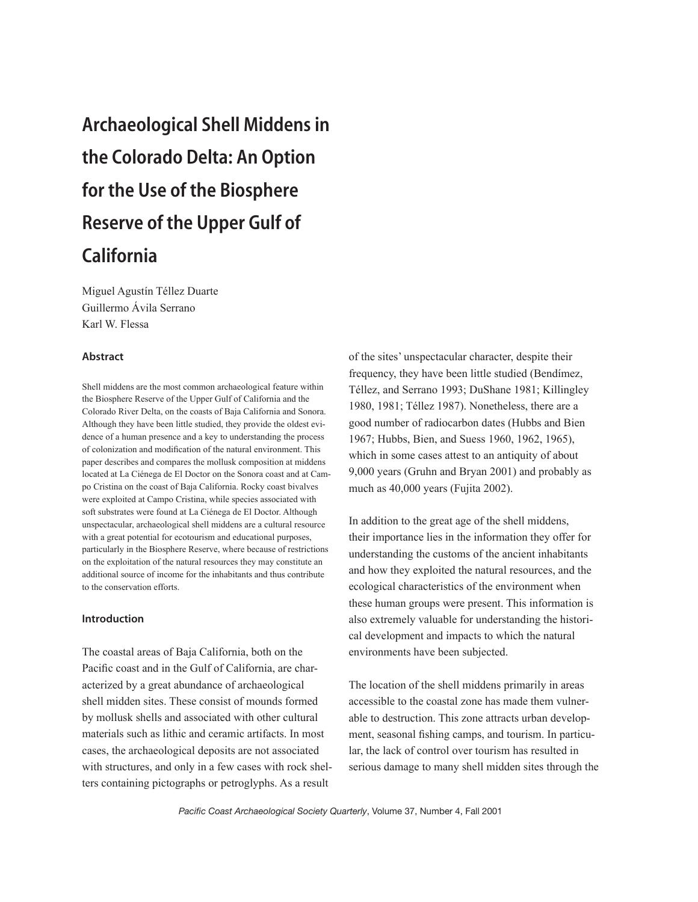# Archaeological Shell Middens in the Colorado Delta: An Option for the Use of the Biosphere Reserve of the Upper Gulf of California

Miguel Agustín Téllez Duarte Guillermo Ávila Serrano Karl W. Flessa

#### Abstract

Shell middens are the most common archaeological feature within the Biosphere Reserve of the Upper Gulf of California and the Colorado River Delta, on the coasts of Baja California and Sonora. Although they have been little studied, they provide the oldest evidence of a human presence and a key to understanding the process of colonization and modification of the natural environment. This paper describes and compares the mollusk composition at middens located at La Ciénega de El Doctor on the Sonora coast and at Campo Cristina on the coast of Baja California. Rocky coast bivalves were exploited at Campo Cristina, while species associated with soft substrates were found at La Ciénega de El Doctor. Although unspectacular, archaeological shell middens are a cultural resource with a great potential for ecotourism and educational purposes, particularly in the Biosphere Reserve, where because of restrictions on the exploitation of the natural resources they may constitute an additional source of income for the inhabitants and thus contribute to the conservation efforts.

# Introduction

The coastal areas of Baja California, both on the Pacific coast and in the Gulf of California, are characterized by a great abundance of archaeological shell midden sites. These consist of mounds formed by mollusk shells and associated with other cultural materials such as lithic and ceramic artifacts. In most cases, the archaeological deposits are not associated with structures, and only in a few cases with rock shelters containing pictographs or petroglyphs. As a result

of the sites' unspectacular character, despite their frequency, they have been little studied (Bendímez, Téllez, and Serrano 1993; DuShane 1981; Killingley 1980, 1981; Téllez 1987). Nonetheless, there are a good number of radiocarbon dates (Hubbs and Bien 1967; Hubbs, Bien, and Suess 1960, 1962, 1965), which in some cases attest to an antiquity of about 9,000 years (Gruhn and Bryan 2001) and probably as much as 40,000 years (Fujita 2002).

In addition to the great age of the shell middens, their importance lies in the information they offer for understanding the customs of the ancient inhabitants and how they exploited the natural resources, and the ecological characteristics of the environment when these human groups were present. This information is also extremely valuable for understanding the historical development and impacts to which the natural environments have been subjected.

The location of the shell middens primarily in areas accessible to the coastal zone has made them vulnerable to destruction. This zone attracts urban development, seasonal fishing camps, and tourism. In particular, the lack of control over tourism has resulted in serious damage to many shell midden sites through the

*Pacific Coast Archaeological Society Quarterly*, Volume 37, Number 4, Fall 2001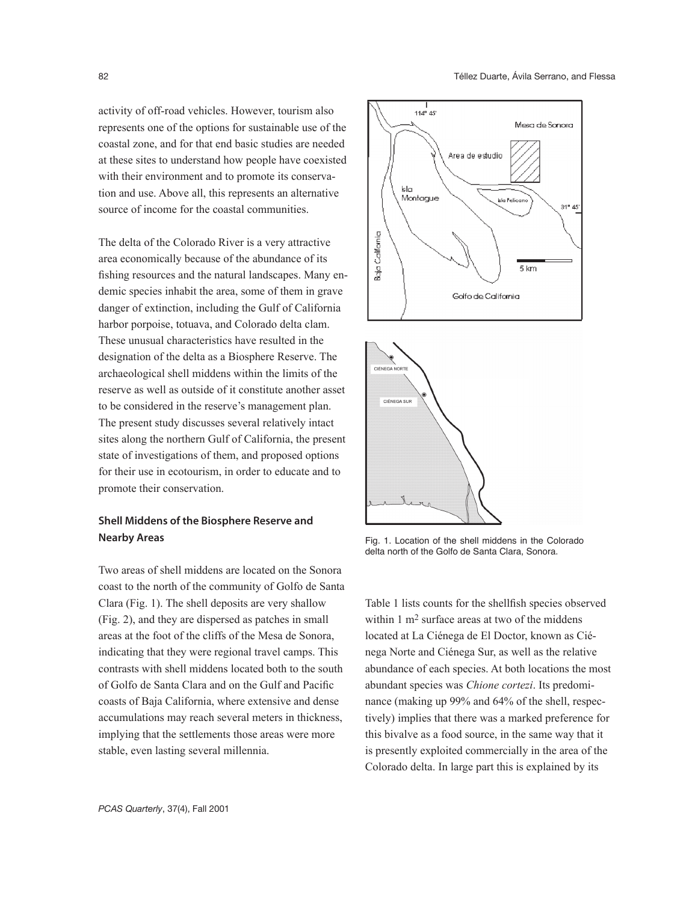activity of off-road vehicles. However, tourism also represents one of the options for sustainable use of the coastal zone, and for that end basic studies are needed at these sites to understand how people have coexisted with their environment and to promote its conservation and use. Above all, this represents an alternative source of income for the coastal communities.

The delta of the Colorado River is a very attractive area economically because of the abundance of its fishing resources and the natural landscapes. Many endemic species inhabit the area, some of them in grave danger of extinction, including the Gulf of California harbor porpoise, totuava, and Colorado delta clam. These unusual characteristics have resulted in the designation of the delta as a Biosphere Reserve. The archaeological shell middens within the limits of the reserve as well as outside of it constitute another asset to be considered in the reserve's management plan. The present study discusses several relatively intact sites along the northern Gulf of California, the present state of investigations of them, and proposed options for their use in ecotourism, in order to educate and to promote their conservation.

# Shell Middens of the Biosphere Reserve and Nearby Areas

Two areas of shell middens are located on the Sonora coast to the north of the community of Golfo de Santa Clara (Fig. 1). The shell deposits are very shallow (Fig. 2), and they are dispersed as patches in small areas at the foot of the cliffs of the Mesa de Sonora, indicating that they were regional travel camps. This contrasts with shell middens located both to the south of Golfo de Santa Clara and on the Gulf and Pacific coasts of Baja California, where extensive and dense accumulations may reach several meters in thickness, implying that the settlements those areas were more stable, even lasting several millennia.





Fig. 1. Location of the shell middens in the Colorado delta north of the Golfo de Santa Clara, Sonora.

Table 1 lists counts for the shellfish species observed within 1 m<sup>2</sup> surface areas at two of the middens located at La Ciénega de El Doctor, known as Ciénega Norte and Ciénega Sur, as well as the relative abundance of each species. At both locations the most abundant species was *Chione cortezi*. Its predominance (making up 99% and 64% of the shell, respectively) implies that there was a marked preference for this bivalve as a food source, in the same way that it is presently exploited commercially in the area of the Colorado delta. In large part this is explained by its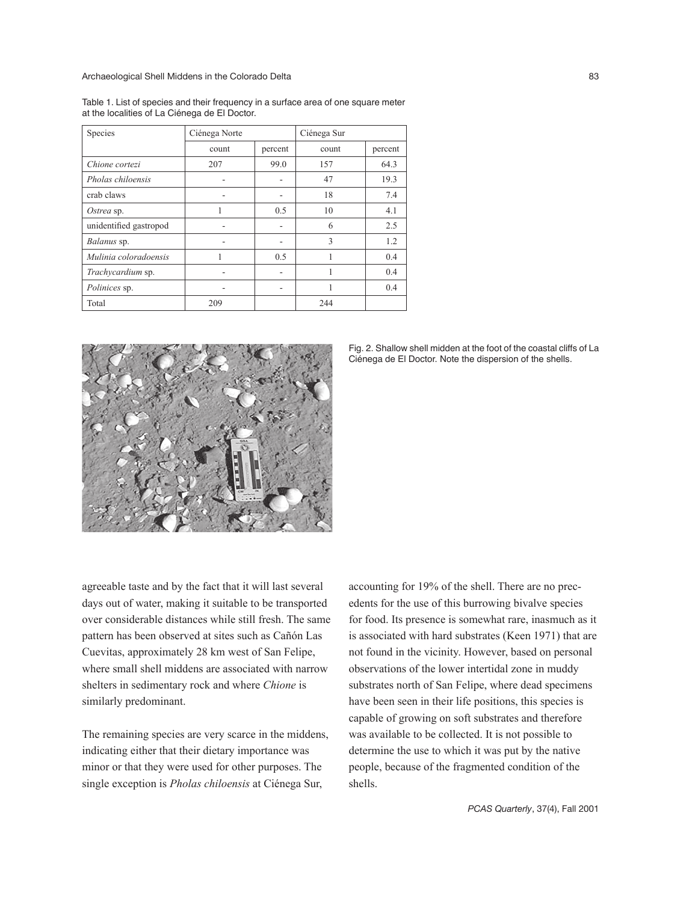Archaeological Shell Middens in the Colorado Delta 83

Table 1. List of species and their frequency in a surface area of one square meter at the localities of La Ciénega de El Doctor.

| Species                | Ciénega Norte |         | Ciénega Sur |         |
|------------------------|---------------|---------|-------------|---------|
|                        | count         | percent | count       | percent |
| Chione cortezi         | 207           | 99.0    | 157         | 64.3    |
| Pholas chiloensis      |               |         | 47          | 19.3    |
| crab claws             | ۰             |         | 18          | 7.4     |
| Ostrea sp.             |               | 0.5     | 10          | 4.1     |
| unidentified gastropod |               |         | 6           | 2.5     |
| Balanus sp.            |               |         | 3           | 1.2     |
| Mulinia coloradoensis  | 1             | 0.5     | 1           | 0.4     |
| Trachycardium sp.      |               |         |             | 0.4     |
| Polinices sp.          |               |         |             | 0.4     |
| Total                  | 209           |         | 244         |         |



Fig. 2. Shallow shell midden at the foot of the coastal cliffs of La Ciénega de El Doctor. Note the dispersion of the shells.

agreeable taste and by the fact that it will last several days out of water, making it suitable to be transported over considerable distances while still fresh. The same pattern has been observed at sites such as Cañón Las Cuevitas, approximately 28 km west of San Felipe, where small shell middens are associated with narrow shelters in sedimentary rock and where *Chione* is similarly predominant.

The remaining species are very scarce in the middens, indicating either that their dietary importance was minor or that they were used for other purposes. The single exception is *Pholas chiloensis* at Ciénega Sur,

accounting for 19% of the shell. There are no precedents for the use of this burrowing bivalve species for food. Its presence is somewhat rare, inasmuch as it is associated with hard substrates (Keen 1971) that are not found in the vicinity. However, based on personal observations of the lower intertidal zone in muddy substrates north of San Felipe, where dead specimens have been seen in their life positions, this species is capable of growing on soft substrates and therefore was available to be collected. It is not possible to determine the use to which it was put by the native people, because of the fragmented condition of the shells.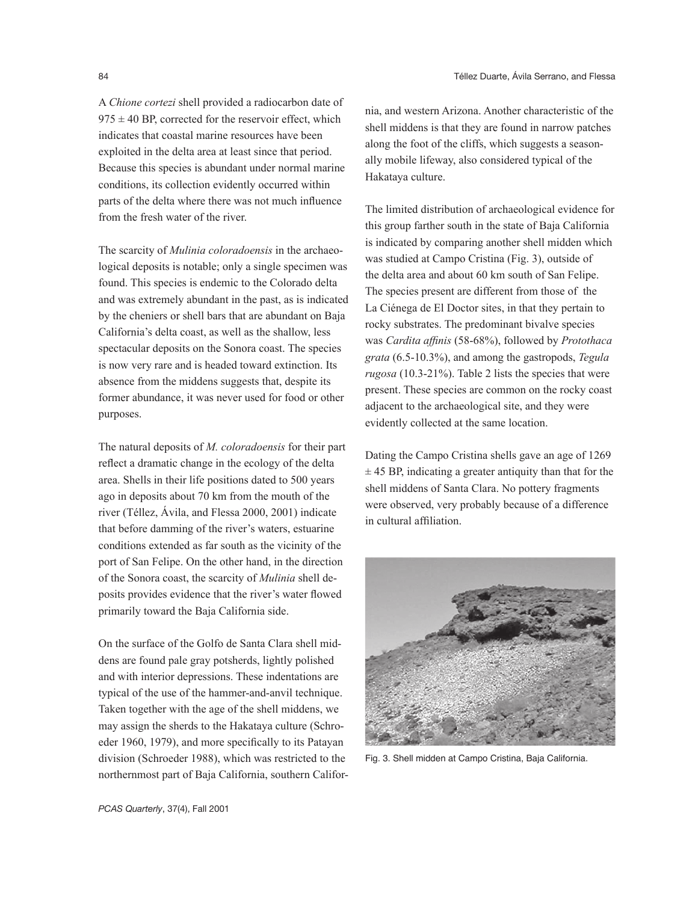A *Chione cortezi* shell provided a radiocarbon date of  $975 \pm 40$  BP, corrected for the reservoir effect, which indicates that coastal marine resources have been exploited in the delta area at least since that period. Because this species is abundant under normal marine conditions, its collection evidently occurred within parts of the delta where there was not much influence from the fresh water of the river.

The scarcity of *Mulinia coloradoensis* in the archaeological deposits is notable; only a single specimen was found. This species is endemic to the Colorado delta and was extremely abundant in the past, as is indicated by the cheniers or shell bars that are abundant on Baja California's delta coast, as well as the shallow, less spectacular deposits on the Sonora coast. The species is now very rare and is headed toward extinction. Its absence from the middens suggests that, despite its former abundance, it was never used for food or other purposes.

The natural deposits of *M. coloradoensis* for their part reflect a dramatic change in the ecology of the delta area. Shells in their life positions dated to 500 years ago in deposits about 70 km from the mouth of the river (Téllez, Ávila, and Flessa 2000, 2001) indicate that before damming of the river's waters, estuarine conditions extended as far south as the vicinity of the port of San Felipe. On the other hand, in the direction of the Sonora coast, the scarcity of *Mulinia* shell deposits provides evidence that the river's water flowed primarily toward the Baja California side.

On the surface of the Golfo de Santa Clara shell middens are found pale gray potsherds, lightly polished and with interior depressions. These indentations are typical of the use of the hammer-and-anvil technique. Taken together with the age of the shell middens, we may assign the sherds to the Hakataya culture (Schroeder 1960, 1979), and more specifically to its Patayan division (Schroeder 1988), which was restricted to the northernmost part of Baja California, southern California, and western Arizona. Another characteristic of the shell middens is that they are found in narrow patches along the foot of the cliffs, which suggests a seasonally mobile lifeway, also considered typical of the Hakataya culture.

The limited distribution of archaeological evidence for this group farther south in the state of Baja California is indicated by comparing another shell midden which was studied at Campo Cristina (Fig. 3), outside of the delta area and about 60 km south of San Felipe. The species present are different from those of the La Ciénega de El Doctor sites, in that they pertain to rocky substrates. The predominant bivalve species was *Cardita affinis* (58-68%), followed by *Protothaca grata* (6.5-10.3%), and among the gastropods, *Tegula rugosa* (10.3-21%). Table 2 lists the species that were present. These species are common on the rocky coast adjacent to the archaeological site, and they were evidently collected at the same location.

Dating the Campo Cristina shells gave an age of 1269  $\pm$  45 BP, indicating a greater antiquity than that for the shell middens of Santa Clara. No pottery fragments were observed, very probably because of a difference in cultural affiliation.



Fig. 3. Shell midden at Campo Cristina, Baja California.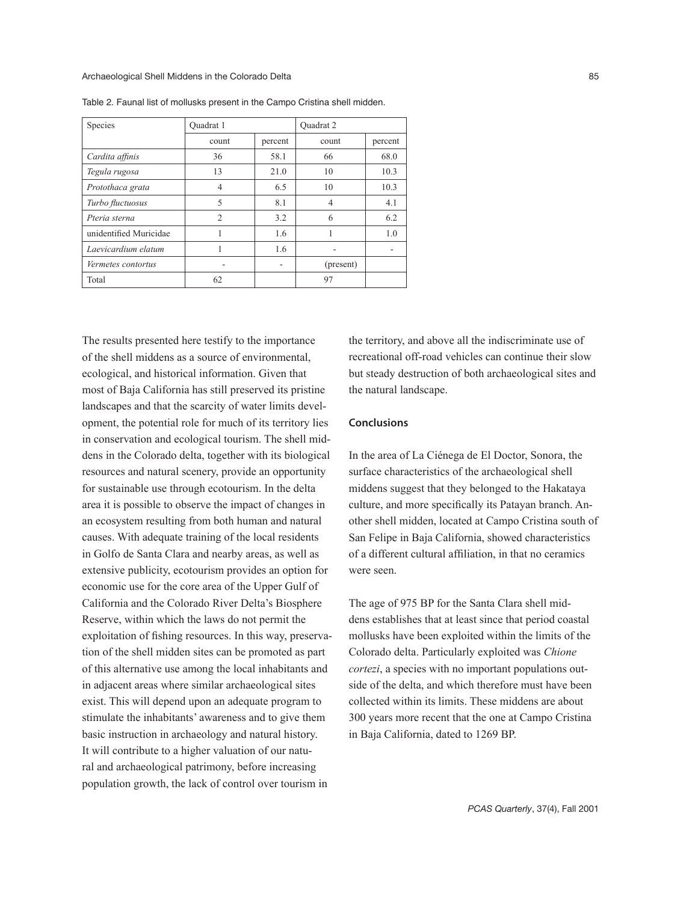| Species                | Ouadrat 1      |         | <b>Ouadrat 2</b> |         |
|------------------------|----------------|---------|------------------|---------|
|                        | count          | percent | count            | percent |
| Cardita affinis        | 36             | 58.1    | 66               | 68.0    |
| Tegula rugosa          | 13             | 21.0    | 10               | 10.3    |
| Protothaca grata       | 4              | 6.5     | 10               | 10.3    |
| Turbo fluctuosus       | 5              | 8.1     | 4                | 4.1     |
| Pteria sterna          | $\overline{2}$ | 3.2     | 6                | 6.2     |
| unidentified Muricidae |                | 1.6     |                  | 1.0     |
| Laevicardium elatum    |                | 1.6     |                  |         |
| Vermetes contortus     |                |         | (present)        |         |
| Total                  | 62             |         | 97               |         |

Table 2. Faunal list of mollusks present in the Campo Cristina shell midden.

The results presented here testify to the importance of the shell middens as a source of environmental, ecological, and historical information. Given that most of Baja California has still preserved its pristine landscapes and that the scarcity of water limits development, the potential role for much of its territory lies in conservation and ecological tourism. The shell middens in the Colorado delta, together with its biological resources and natural scenery, provide an opportunity for sustainable use through ecotourism. In the delta area it is possible to observe the impact of changes in an ecosystem resulting from both human and natural causes. With adequate training of the local residents in Golfo de Santa Clara and nearby areas, as well as extensive publicity, ecotourism provides an option for economic use for the core area of the Upper Gulf of California and the Colorado River Delta's Biosphere Reserve, within which the laws do not permit the exploitation of fishing resources. In this way, preservation of the shell midden sites can be promoted as part of this alternative use among the local inhabitants and in adjacent areas where similar archaeological sites exist. This will depend upon an adequate program to stimulate the inhabitants' awareness and to give them basic instruction in archaeology and natural history. It will contribute to a higher valuation of our natural and archaeological patrimony, before increasing population growth, the lack of control over tourism in

the territory, and above all the indiscriminate use of recreational off-road vehicles can continue their slow but steady destruction of both archaeological sites and the natural landscape.

### **Conclusions**

In the area of La Ciénega de El Doctor, Sonora, the surface characteristics of the archaeological shell middens suggest that they belonged to the Hakataya culture, and more specifically its Patayan branch. Another shell midden, located at Campo Cristina south of San Felipe in Baja California, showed characteristics of a different cultural affiliation, in that no ceramics were seen.

The age of 975 BP for the Santa Clara shell middens establishes that at least since that period coastal mollusks have been exploited within the limits of the Colorado delta. Particularly exploited was *Chione cortezi*, a species with no important populations outside of the delta, and which therefore must have been collected within its limits. These middens are about 300 years more recent that the one at Campo Cristina in Baja California, dated to 1269 BP.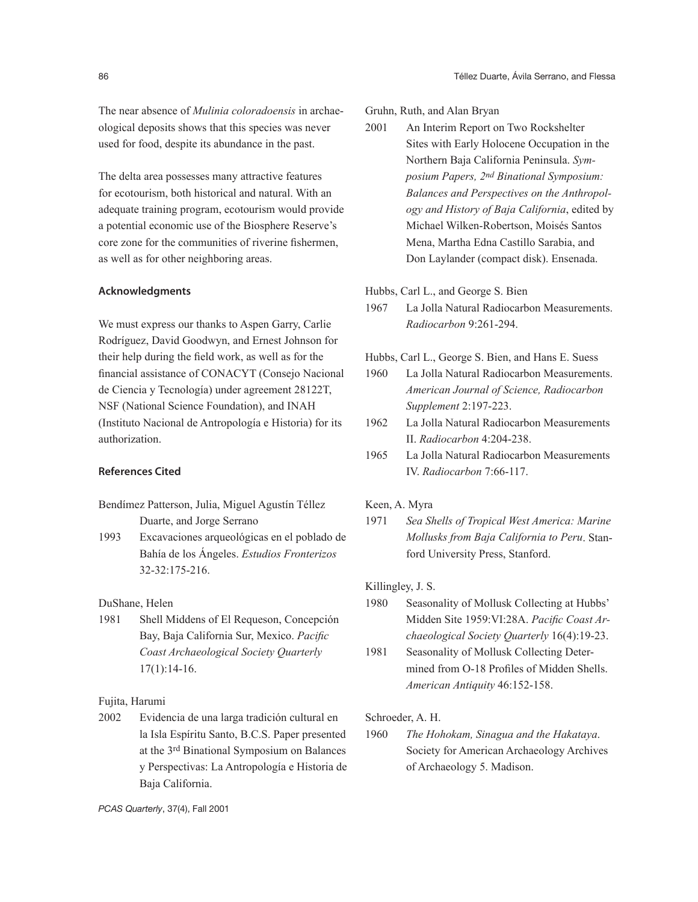The near absence of *Mulinia coloradoensis* in archaeological deposits shows that this species was never used for food, despite its abundance in the past.

The delta area possesses many attractive features for ecotourism, both historical and natural. With an adequate training program, ecotourism would provide a potential economic use of the Biosphere Reserve's core zone for the communities of riverine fishermen, as well as for other neighboring areas.

#### Acknowledgments

We must express our thanks to Aspen Garry, Carlie Rodríguez, David Goodwyn, and Ernest Johnson for their help during the field work, as well as for the financial assistance of CONACYT (Consejo Nacional de Ciencia y Tecnología) under agreement 28122T, NSF (National Science Foundation), and INAH (Instituto Nacional de Antropología e Historia) for its authorization.

## References Cited

- Bendímez Patterson, Julia, Miguel Agustín Téllez Duarte, and Jorge Serrano
- 1993 Excavaciones arqueológicas en el poblado de Bahía de los Ángeles. *Estudios Fronterizos* 32-32:175-216.

DuShane, Helen

1981 Shell Middens of El Requeson, Concepción Bay, Baja California Sur, Mexico. *Pacific Coast Archaeological Society Quarterly* 17(1):14-16.

# Fujita, Harumi

2002 Evidencia de una larga tradición cultural en la Isla Espíritu Santo, B.C.S. Paper presented at the 3rd Binational Symposium on Balances y Perspectivas: La Antropología e Historia de Baja California.

#### Gruhn, Ruth, and Alan Bryan

2001 An Interim Report on Two Rockshelter Sites with Early Holocene Occupation in the Northern Baja California Peninsula. *Symposium Papers, 2nd Binational Symposium: Balances and Perspectives on the Anthropology and History of Baja California*, edited by Michael Wilken-Robertson, Moisés Santos Mena, Martha Edna Castillo Sarabia, and Don Laylander (compact disk). Ensenada.

#### Hubbs, Carl L., and George S. Bien

- 1967 La Jolla Natural Radiocarbon Measurements. *Radiocarbon* 9:261-294.
- Hubbs, Carl L., George S. Bien, and Hans E. Suess
- 1960 La Jolla Natural Radiocarbon Measurements. *American Journal of Science, Radiocarbon Supplement* 2:197-223.
- 1962 La Jolla Natural Radiocarbon Measurements II. *Radiocarbon* 4:204-238.
- 1965 La Jolla Natural Radiocarbon Measurements IV. *Radiocarbon* 7:66-117.

#### Keen, A. Myra

1971 *Sea Shells of Tropical West America: Marine Mollusks from Baja California to Peru*. Stanford University Press, Stanford.

Killingley, J. S.

- 1980 Seasonality of Mollusk Collecting at Hubbs' Midden Site 1959:VI:28A. *Pacific Coast Archaeological Society Quarterly* 16(4):19-23.
- 1981 Seasonality of Mollusk Collecting Determined from O-18 Profiles of Midden Shells. *American Antiquity* 46:152-158.

Schroeder, A. H.

1960 *The Hohokam, Sinagua and the Hakataya*. Society for American Archaeology Archives of Archaeology 5. Madison.